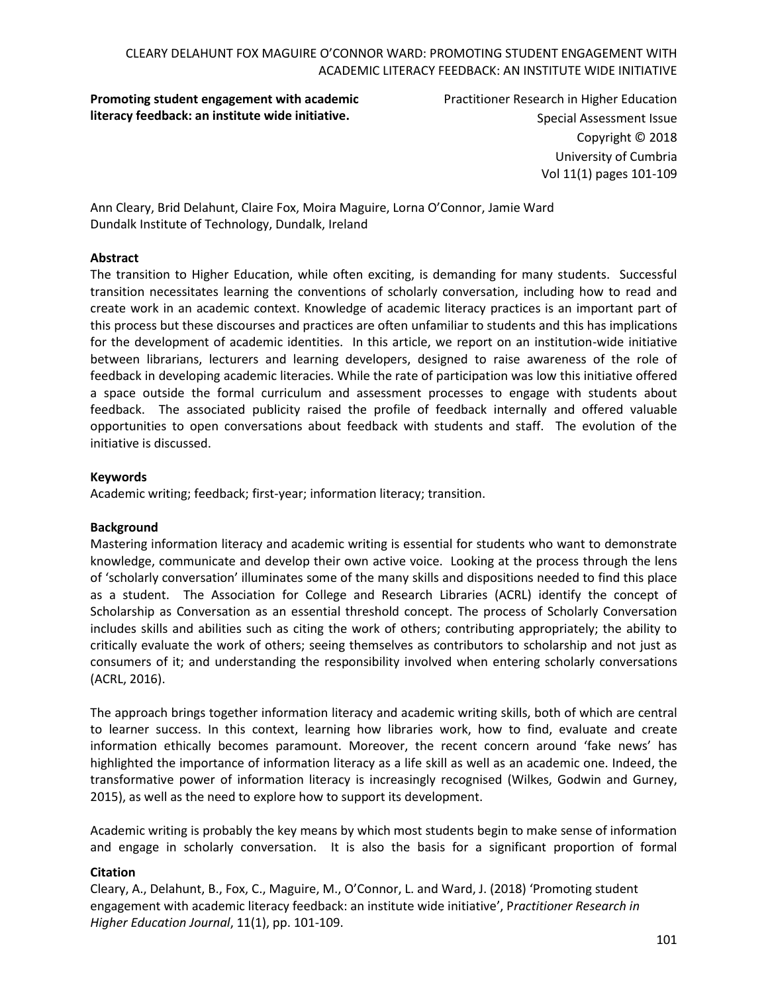**Promoting student engagement with academic literacy feedback: an institute wide initiative.**

Practitioner Research in Higher Education Special Assessment Issue Copyright © 2018 University of Cumbria Vol 11(1) pages 101-109

Ann Cleary, Brid Delahunt, Claire Fox, Moira Maguire, Lorna O'Connor, Jamie Ward Dundalk Institute of Technology, Dundalk, Ireland

### **Abstract**

The transition to Higher Education, while often exciting, is demanding for many students. Successful transition necessitates learning the conventions of scholarly conversation, including how to read and create work in an academic context. Knowledge of academic literacy practices is an important part of this process but these discourses and practices are often unfamiliar to students and this has implications for the development of academic identities. In this article, we report on an institution-wide initiative between librarians, lecturers and learning developers, designed to raise awareness of the role of feedback in developing academic literacies. While the rate of participation was low this initiative offered a space outside the formal curriculum and assessment processes to engage with students about feedback. The associated publicity raised the profile of feedback internally and offered valuable opportunities to open conversations about feedback with students and staff. The evolution of the initiative is discussed.

### **Keywords**

Academic writing; feedback; first-year; information literacy; transition.

#### **Background**

Mastering information literacy and academic writing is essential for students who want to demonstrate knowledge, communicate and develop their own active voice. Looking at the process through the lens of 'scholarly conversation' illuminates some of the many skills and dispositions needed to find this place as a student. The Association for College and Research Libraries (ACRL) identify the concept of Scholarship as Conversation as an essential threshold concept. The process of Scholarly Conversation includes skills and abilities such as citing the work of others; contributing appropriately; the ability to critically evaluate the work of others; seeing themselves as contributors to scholarship and not just as consumers of it; and understanding the responsibility involved when entering scholarly conversations (ACRL, 2016).

The approach brings together information literacy and academic writing skills, both of which are central to learner success. In this context, learning how libraries work, how to find, evaluate and create information ethically becomes paramount. Moreover, the recent concern around 'fake news' has highlighted the importance of information literacy as a life skill as well as an academic one. Indeed, the transformative power of information literacy is increasingly recognised (Wilkes, Godwin and Gurney, 2015), as well as the need to explore how to support its development.

Academic writing is probably the key means by which most students begin to make sense of information and engage in scholarly conversation. It is also the basis for a significant proportion of formal

#### **Citation**

Cleary, A., Delahunt, B., Fox, C., Maguire, M., O'Connor, L. and Ward, J. (2018) 'Promoting student engagement with academic literacy feedback: an institute wide initiative', P*ractitioner Research in Higher Education Journal*, 11(1), pp. 101-109.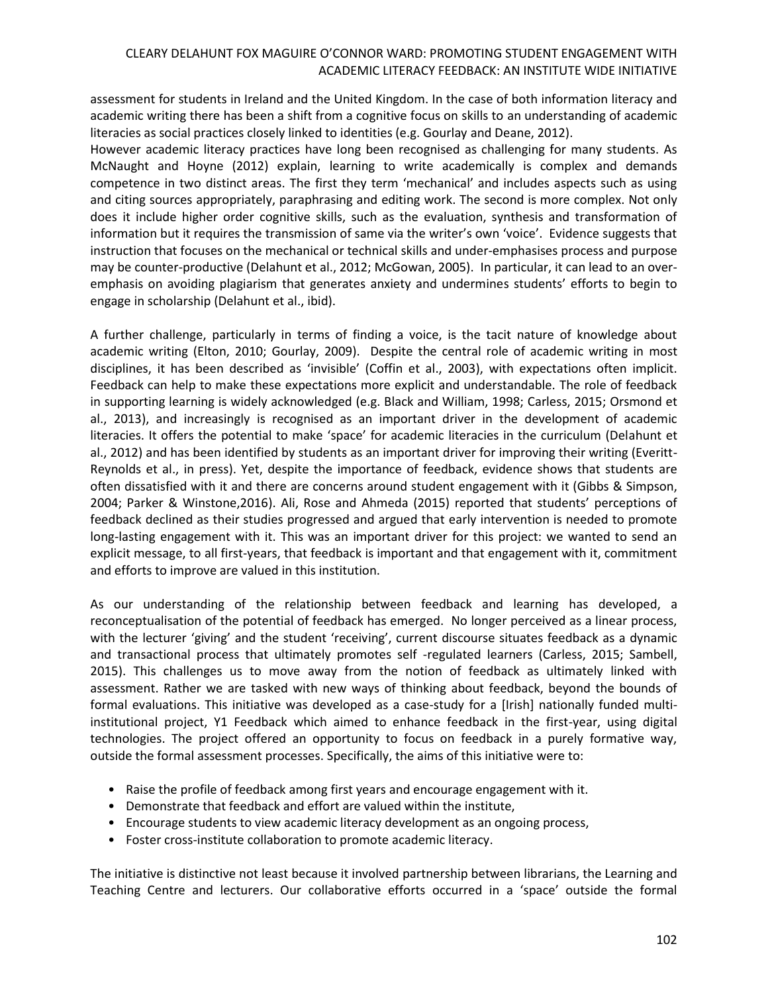assessment for students in Ireland and the United Kingdom. In the case of both information literacy and academic writing there has been a shift from a cognitive focus on skills to an understanding of academic literacies as social practices closely linked to identities (e.g. Gourlay and Deane, 2012).

However academic literacy practices have long been recognised as challenging for many students. As McNaught and Hoyne (2012) explain, learning to write academically is complex and demands competence in two distinct areas. The first they term 'mechanical' and includes aspects such as using and citing sources appropriately, paraphrasing and editing work. The second is more complex. Not only does it include higher order cognitive skills, such as the evaluation, synthesis and transformation of information but it requires the transmission of same via the writer's own 'voice'. Evidence suggests that instruction that focuses on the mechanical or technical skills and under-emphasises process and purpose may be counter-productive (Delahunt et al., 2012; McGowan, 2005). In particular, it can lead to an overemphasis on avoiding plagiarism that generates anxiety and undermines students' efforts to begin to engage in scholarship (Delahunt et al., ibid).

A further challenge, particularly in terms of finding a voice, is the tacit nature of knowledge about academic writing (Elton, 2010; Gourlay, 2009). Despite the central role of academic writing in most disciplines, it has been described as 'invisible' (Coffin et al., 2003), with expectations often implicit. Feedback can help to make these expectations more explicit and understandable. The role of feedback in supporting learning is widely acknowledged (e.g. Black and William, 1998; Carless, 2015; Orsmond et al., 2013), and increasingly is recognised as an important driver in the development of academic literacies. It offers the potential to make 'space' for academic literacies in the curriculum (Delahunt et al., 2012) and has been identified by students as an important driver for improving their writing (Everitt-Reynolds et al., in press). Yet, despite the importance of feedback, evidence shows that students are often dissatisfied with it and there are concerns around student engagement with it (Gibbs & Simpson, 2004; Parker & Winstone,2016). Ali, Rose and Ahmeda (2015) reported that students' perceptions of feedback declined as their studies progressed and argued that early intervention is needed to promote long-lasting engagement with it. This was an important driver for this project: we wanted to send an explicit message, to all first-years, that feedback is important and that engagement with it, commitment and efforts to improve are valued in this institution.

As our understanding of the relationship between feedback and learning has developed, a reconceptualisation of the potential of feedback has emerged. No longer perceived as a linear process, with the lecturer 'giving' and the student 'receiving', current discourse situates feedback as a dynamic and transactional process that ultimately promotes self -regulated learners (Carless, 2015; Sambell, 2015). This challenges us to move away from the notion of feedback as ultimately linked with assessment. Rather we are tasked with new ways of thinking about feedback, beyond the bounds of formal evaluations. This initiative was developed as a case-study for a [Irish] nationally funded multiinstitutional project, Y1 Feedback which aimed to enhance feedback in the first-year, using digital technologies. The project offered an opportunity to focus on feedback in a purely formative way, outside the formal assessment processes. Specifically, the aims of this initiative were to:

- Raise the profile of feedback among first years and encourage engagement with it.
- Demonstrate that feedback and effort are valued within the institute,
- Encourage students to view academic literacy development as an ongoing process,
- Foster cross-institute collaboration to promote academic literacy.

The initiative is distinctive not least because it involved partnership between librarians, the Learning and Teaching Centre and lecturers. Our collaborative efforts occurred in a 'space' outside the formal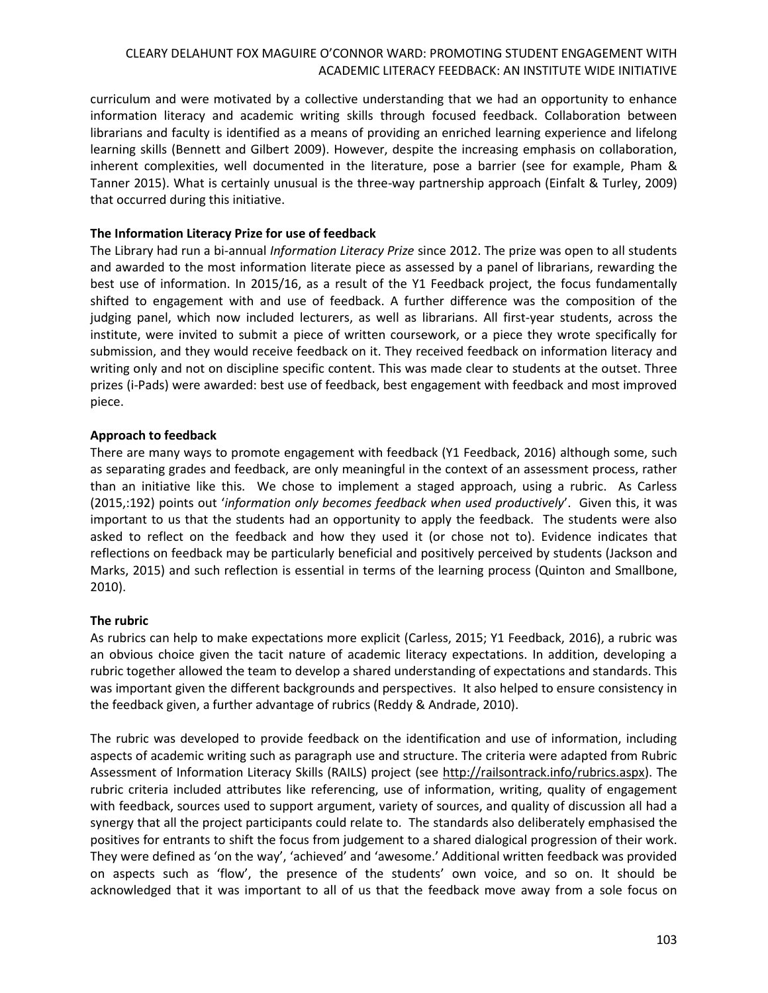curriculum and were motivated by a collective understanding that we had an opportunity to enhance information literacy and academic writing skills through focused feedback. Collaboration between librarians and faculty is identified as a means of providing an enriched learning experience and lifelong learning skills (Bennett and Gilbert 2009). However, despite the increasing emphasis on collaboration, inherent complexities, well documented in the literature, pose a barrier (see for example, Pham & Tanner 2015). What is certainly unusual is the three-way partnership approach (Einfalt & Turley, 2009) that occurred during this initiative.

## **The Information Literacy Prize for use of feedback**

The Library had run a bi-annual *Information Literacy Prize* since 2012. The prize was open to all students and awarded to the most information literate piece as assessed by a panel of librarians, rewarding the best use of information. In 2015/16, as a result of the Y1 Feedback project, the focus fundamentally shifted to engagement with and use of feedback. A further difference was the composition of the judging panel, which now included lecturers, as well as librarians. All first-year students, across the institute, were invited to submit a piece of written coursework, or a piece they wrote specifically for submission, and they would receive feedback on it. They received feedback on information literacy and writing only and not on discipline specific content. This was made clear to students at the outset. Three prizes (i-Pads) were awarded: best use of feedback, best engagement with feedback and most improved piece.

# **Approach to feedback**

There are many ways to promote engagement with feedback (Y1 Feedback, 2016) although some, such as separating grades and feedback, are only meaningful in the context of an assessment process, rather than an initiative like this. We chose to implement a staged approach, using a rubric. As Carless (2015,:192) points out '*information only becomes feedback when used productively*'. Given this, it was important to us that the students had an opportunity to apply the feedback. The students were also asked to reflect on the feedback and how they used it (or chose not to). Evidence indicates that reflections on feedback may be particularly beneficial and positively perceived by students (Jackson and Marks, 2015) and such reflection is essential in terms of the learning process (Quinton and Smallbone, 2010).

# **The rubric**

As rubrics can help to make expectations more explicit (Carless, 2015; Y1 Feedback, 2016), a rubric was an obvious choice given the tacit nature of academic literacy expectations. In addition, developing a rubric together allowed the team to develop a shared understanding of expectations and standards. This was important given the different backgrounds and perspectives. It also helped to ensure consistency in the feedback given, a further advantage of rubrics (Reddy & Andrade, 2010).

The rubric was developed to provide feedback on the identification and use of information, including aspects of academic writing such as paragraph use and structure. The criteria were adapted from Rubric Assessment of Information Literacy Skills (RAILS) project (see [http://railsontrack.info/rubrics.aspx\)](http://railsontrack.info/rubrics.aspx). The rubric criteria included attributes like referencing, use of information, writing, quality of engagement with feedback, sources used to support argument, variety of sources, and quality of discussion all had a synergy that all the project participants could relate to. The standards also deliberately emphasised the positives for entrants to shift the focus from judgement to a shared dialogical progression of their work. They were defined as 'on the way', 'achieved' and 'awesome.' Additional written feedback was provided on aspects such as 'flow', the presence of the students' own voice, and so on. It should be acknowledged that it was important to all of us that the feedback move away from a sole focus on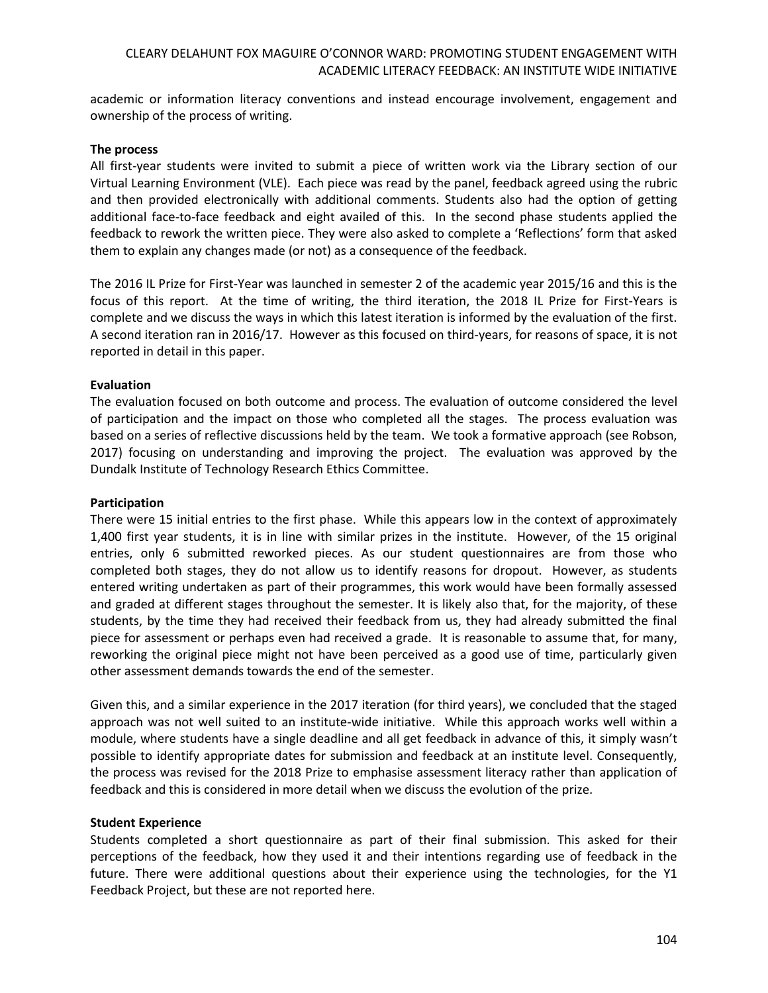academic or information literacy conventions and instead encourage involvement, engagement and ownership of the process of writing.

### **The process**

All first-year students were invited to submit a piece of written work via the Library section of our Virtual Learning Environment (VLE). Each piece was read by the panel, feedback agreed using the rubric and then provided electronically with additional comments. Students also had the option of getting additional face-to-face feedback and eight availed of this. In the second phase students applied the feedback to rework the written piece. They were also asked to complete a 'Reflections' form that asked them to explain any changes made (or not) as a consequence of the feedback.

The 2016 IL Prize for First-Year was launched in semester 2 of the academic year 2015/16 and this is the focus of this report. At the time of writing, the third iteration, the 2018 IL Prize for First-Years is complete and we discuss the ways in which this latest iteration is informed by the evaluation of the first. A second iteration ran in 2016/17. However as this focused on third-years, for reasons of space, it is not reported in detail in this paper.

## **Evaluation**

The evaluation focused on both outcome and process. The evaluation of outcome considered the level of participation and the impact on those who completed all the stages. The process evaluation was based on a series of reflective discussions held by the team. We took a formative approach (see Robson, 2017) focusing on understanding and improving the project. The evaluation was approved by the Dundalk Institute of Technology Research Ethics Committee.

#### **Participation**

There were 15 initial entries to the first phase. While this appears low in the context of approximately 1,400 first year students, it is in line with similar prizes in the institute. However, of the 15 original entries, only 6 submitted reworked pieces. As our student questionnaires are from those who completed both stages, they do not allow us to identify reasons for dropout. However, as students entered writing undertaken as part of their programmes, this work would have been formally assessed and graded at different stages throughout the semester. It is likely also that, for the majority, of these students, by the time they had received their feedback from us, they had already submitted the final piece for assessment or perhaps even had received a grade. It is reasonable to assume that, for many, reworking the original piece might not have been perceived as a good use of time, particularly given other assessment demands towards the end of the semester.

Given this, and a similar experience in the 2017 iteration (for third years), we concluded that the staged approach was not well suited to an institute-wide initiative. While this approach works well within a module, where students have a single deadline and all get feedback in advance of this, it simply wasn't possible to identify appropriate dates for submission and feedback at an institute level. Consequently, the process was revised for the 2018 Prize to emphasise assessment literacy rather than application of feedback and this is considered in more detail when we discuss the evolution of the prize.

#### **Student Experience**

Students completed a short questionnaire as part of their final submission. This asked for their perceptions of the feedback, how they used it and their intentions regarding use of feedback in the future. There were additional questions about their experience using the technologies, for the Y1 Feedback Project, but these are not reported here.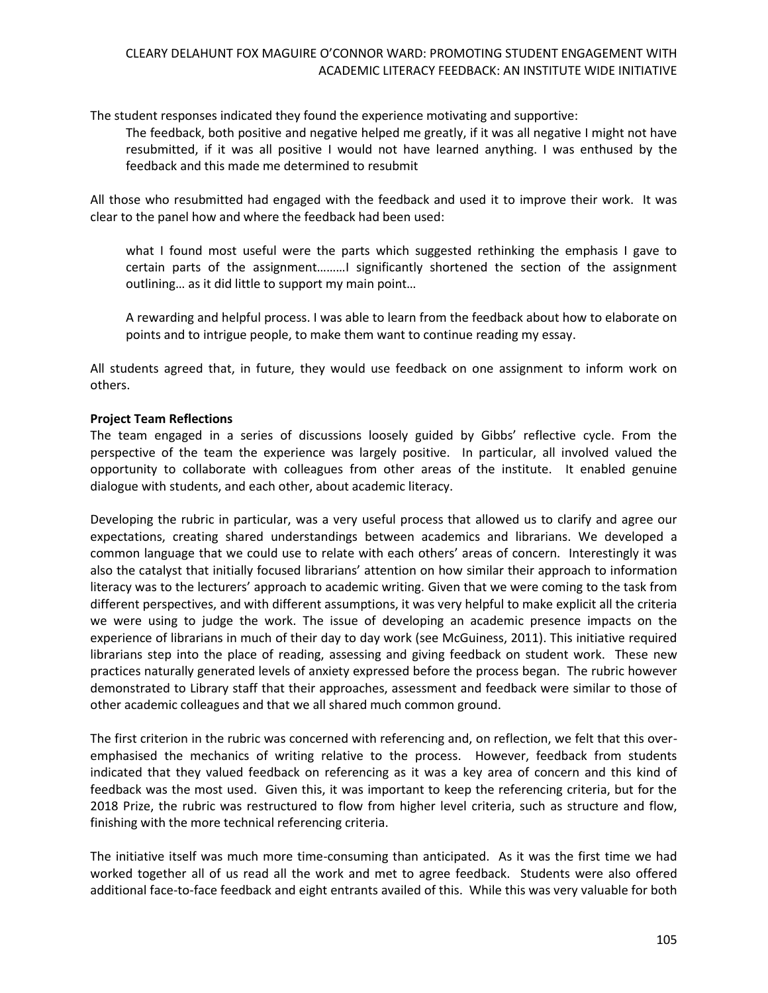The student responses indicated they found the experience motivating and supportive:

The feedback, both positive and negative helped me greatly, if it was all negative I might not have resubmitted, if it was all positive I would not have learned anything. I was enthused by the feedback and this made me determined to resubmit

All those who resubmitted had engaged with the feedback and used it to improve their work. It was clear to the panel how and where the feedback had been used:

what I found most useful were the parts which suggested rethinking the emphasis I gave to certain parts of the assignment………I significantly shortened the section of the assignment outlining… as it did little to support my main point…

A rewarding and helpful process. I was able to learn from the feedback about how to elaborate on points and to intrigue people, to make them want to continue reading my essay.

All students agreed that, in future, they would use feedback on one assignment to inform work on others.

## **Project Team Reflections**

The team engaged in a series of discussions loosely guided by Gibbs' reflective cycle. From the perspective of the team the experience was largely positive. In particular, all involved valued the opportunity to collaborate with colleagues from other areas of the institute. It enabled genuine dialogue with students, and each other, about academic literacy.

Developing the rubric in particular, was a very useful process that allowed us to clarify and agree our expectations, creating shared understandings between academics and librarians. We developed a common language that we could use to relate with each others' areas of concern. Interestingly it was also the catalyst that initially focused librarians' attention on how similar their approach to information literacy was to the lecturers' approach to academic writing. Given that we were coming to the task from different perspectives, and with different assumptions, it was very helpful to make explicit all the criteria we were using to judge the work. The issue of developing an academic presence impacts on the experience of librarians in much of their day to day work (see McGuiness, 2011). This initiative required librarians step into the place of reading, assessing and giving feedback on student work. These new practices naturally generated levels of anxiety expressed before the process began. The rubric however demonstrated to Library staff that their approaches, assessment and feedback were similar to those of other academic colleagues and that we all shared much common ground.

The first criterion in the rubric was concerned with referencing and, on reflection, we felt that this overemphasised the mechanics of writing relative to the process. However, feedback from students indicated that they valued feedback on referencing as it was a key area of concern and this kind of feedback was the most used. Given this, it was important to keep the referencing criteria, but for the 2018 Prize, the rubric was restructured to flow from higher level criteria, such as structure and flow, finishing with the more technical referencing criteria.

The initiative itself was much more time-consuming than anticipated. As it was the first time we had worked together all of us read all the work and met to agree feedback. Students were also offered additional face-to-face feedback and eight entrants availed of this. While this was very valuable for both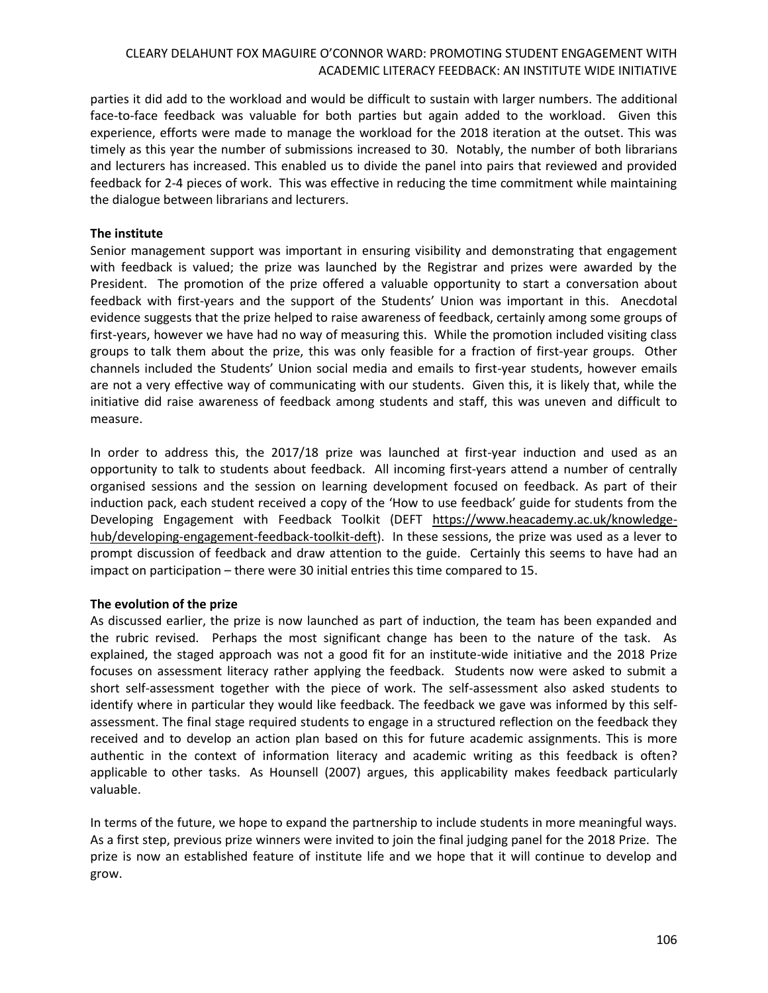parties it did add to the workload and would be difficult to sustain with larger numbers. The additional face-to-face feedback was valuable for both parties but again added to the workload. Given this experience, efforts were made to manage the workload for the 2018 iteration at the outset. This was timely as this year the number of submissions increased to 30. Notably, the number of both librarians and lecturers has increased. This enabled us to divide the panel into pairs that reviewed and provided feedback for 2-4 pieces of work. This was effective in reducing the time commitment while maintaining the dialogue between librarians and lecturers.

## **The institute**

Senior management support was important in ensuring visibility and demonstrating that engagement with feedback is valued; the prize was launched by the Registrar and prizes were awarded by the President. The promotion of the prize offered a valuable opportunity to start a conversation about feedback with first-years and the support of the Students' Union was important in this. Anecdotal evidence suggests that the prize helped to raise awareness of feedback, certainly among some groups of first-years, however we have had no way of measuring this. While the promotion included visiting class groups to talk them about the prize, this was only feasible for a fraction of first-year groups. Other channels included the Students' Union social media and emails to first-year students, however emails are not a very effective way of communicating with our students. Given this, it is likely that, while the initiative did raise awareness of feedback among students and staff, this was uneven and difficult to measure.

In order to address this, the 2017/18 prize was launched at first-year induction and used as an opportunity to talk to students about feedback. All incoming first-years attend a number of centrally organised sessions and the session on learning development focused on feedback. As part of their induction pack, each student received a copy of the 'How to use feedback' guide for students from the Developing Engagement with Feedback Toolkit (DEFT [https://www.heacademy.ac.uk/knowledge](https://www.heacademy.ac.uk/knowledge-hub/developing-engagement-feedback-toolkit-deft)[hub/developing-engagement-feedback-toolkit-deft\)](https://www.heacademy.ac.uk/knowledge-hub/developing-engagement-feedback-toolkit-deft). In these sessions, the prize was used as a lever to prompt discussion of feedback and draw attention to the guide. Certainly this seems to have had an impact on participation – there were 30 initial entries this time compared to 15.

## **The evolution of the prize**

As discussed earlier, the prize is now launched as part of induction, the team has been expanded and the rubric revised. Perhaps the most significant change has been to the nature of the task. As explained, the staged approach was not a good fit for an institute-wide initiative and the 2018 Prize focuses on assessment literacy rather applying the feedback. Students now were asked to submit a short self-assessment together with the piece of work. The self-assessment also asked students to identify where in particular they would like feedback. The feedback we gave was informed by this selfassessment. The final stage required students to engage in a structured reflection on the feedback they received and to develop an action plan based on this for future academic assignments. This is more authentic in the context of information literacy and academic writing as this feedback is often? applicable to other tasks. As Hounsell (2007) argues, this applicability makes feedback particularly valuable.

In terms of the future, we hope to expand the partnership to include students in more meaningful ways. As a first step, previous prize winners were invited to join the final judging panel for the 2018 Prize. The prize is now an established feature of institute life and we hope that it will continue to develop and grow.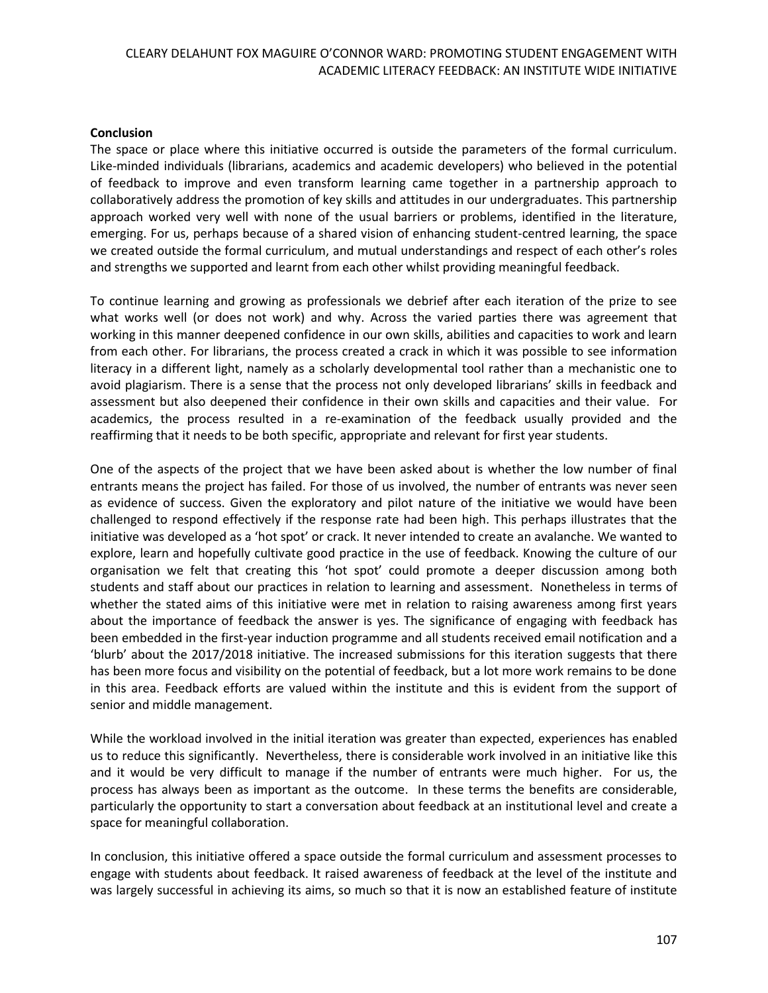### **Conclusion**

The space or place where this initiative occurred is outside the parameters of the formal curriculum. Like-minded individuals (librarians, academics and academic developers) who believed in the potential of feedback to improve and even transform learning came together in a partnership approach to collaboratively address the promotion of key skills and attitudes in our undergraduates. This partnership approach worked very well with none of the usual barriers or problems, identified in the literature, emerging. For us, perhaps because of a shared vision of enhancing student-centred learning, the space we created outside the formal curriculum, and mutual understandings and respect of each other's roles and strengths we supported and learnt from each other whilst providing meaningful feedback.

To continue learning and growing as professionals we debrief after each iteration of the prize to see what works well (or does not work) and why. Across the varied parties there was agreement that working in this manner deepened confidence in our own skills, abilities and capacities to work and learn from each other. For librarians, the process created a crack in which it was possible to see information literacy in a different light, namely as a scholarly developmental tool rather than a mechanistic one to avoid plagiarism. There is a sense that the process not only developed librarians' skills in feedback and assessment but also deepened their confidence in their own skills and capacities and their value. For academics, the process resulted in a re-examination of the feedback usually provided and the reaffirming that it needs to be both specific, appropriate and relevant for first year students.

One of the aspects of the project that we have been asked about is whether the low number of final entrants means the project has failed. For those of us involved, the number of entrants was never seen as evidence of success. Given the exploratory and pilot nature of the initiative we would have been challenged to respond effectively if the response rate had been high. This perhaps illustrates that the initiative was developed as a 'hot spot' or crack. It never intended to create an avalanche. We wanted to explore, learn and hopefully cultivate good practice in the use of feedback. Knowing the culture of our organisation we felt that creating this 'hot spot' could promote a deeper discussion among both students and staff about our practices in relation to learning and assessment. Nonetheless in terms of whether the stated aims of this initiative were met in relation to raising awareness among first years about the importance of feedback the answer is yes. The significance of engaging with feedback has been embedded in the first-year induction programme and all students received email notification and a 'blurb' about the 2017/2018 initiative. The increased submissions for this iteration suggests that there has been more focus and visibility on the potential of feedback, but a lot more work remains to be done in this area. Feedback efforts are valued within the institute and this is evident from the support of senior and middle management.

While the workload involved in the initial iteration was greater than expected, experiences has enabled us to reduce this significantly. Nevertheless, there is considerable work involved in an initiative like this and it would be very difficult to manage if the number of entrants were much higher. For us, the process has always been as important as the outcome. In these terms the benefits are considerable, particularly the opportunity to start a conversation about feedback at an institutional level and create a space for meaningful collaboration.

In conclusion, this initiative offered a space outside the formal curriculum and assessment processes to engage with students about feedback. It raised awareness of feedback at the level of the institute and was largely successful in achieving its aims, so much so that it is now an established feature of institute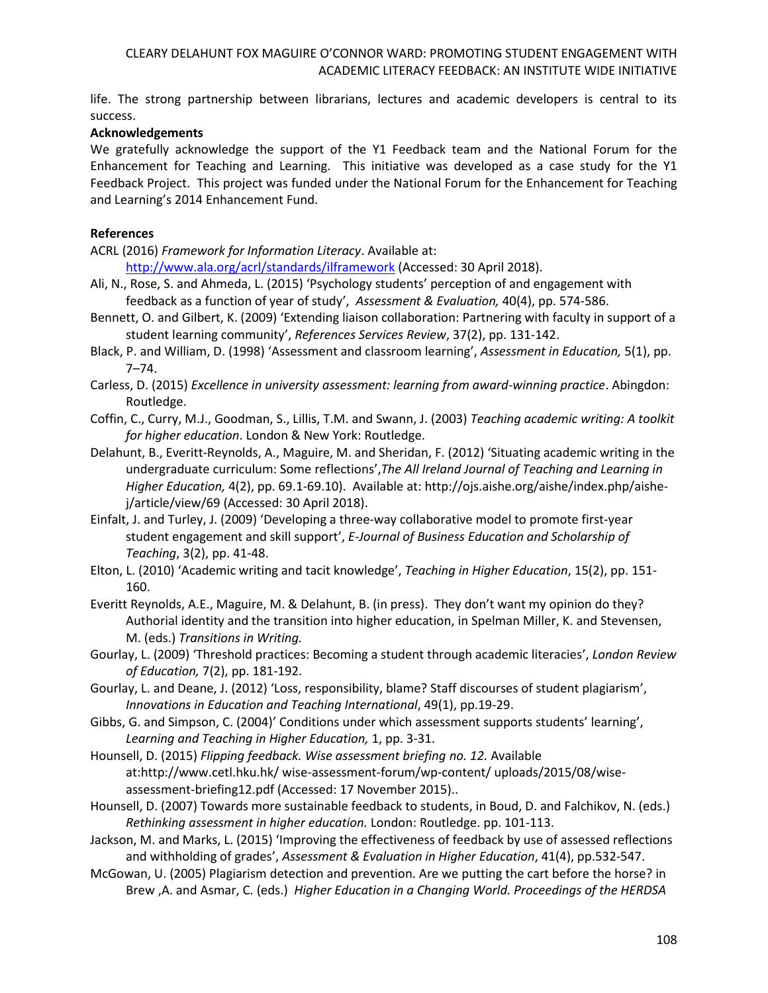life. The strong partnership between librarians, lectures and academic developers is central to its success.

### **Acknowledgements**

We gratefully acknowledge the support of the Y1 Feedback team and the National Forum for the Enhancement for Teaching and Learning. This initiative was developed as a case study for the Y1 Feedback Project. This project was funded under the National Forum for the Enhancement for Teaching and Learning's 2014 Enhancement Fund.

### **References**

ACRL (2016) *Framework for Information Literacy*. Available at:

<http://www.ala.org/acrl/standards/ilframework> (Accessed: 30 April 2018).

- Ali, N., Rose, S. and Ahmeda, L. (2015) 'Psychology students' perception of and engagement with feedback as a function of year of study', *Assessment & Evaluation,* 40(4), pp. 574-586.
- Bennett, O. and Gilbert, K. (2009) 'Extending liaison collaboration: Partnering with faculty in support of a student learning community', *References Services Review*, 37(2), pp. 131-142.
- Black, P. and William, D. (1998) 'Assessment and classroom learning', *Assessment in Education,* 5(1), pp. 7–74.
- Carless, D. (2015) *Excellence in university assessment: learning from award-winning practice*. Abingdon: Routledge.
- Coffin, C., Curry, M.J., Goodman, S., Lillis, T.M. and Swann, J. (2003) *Teaching academic writing: A toolkit for higher education*. London & New York: Routledge.
- Delahunt, B., Everitt-Reynolds, A., Maguire, M. and Sheridan, F. (2012) 'Situating academic writing in the undergraduate curriculum: Some reflections',*The All Ireland Journal of Teaching and Learning in Higher Education,* 4(2), pp. 69.1-69.10). Available at: [http://ojs.aishe.org/aishe/index.php/aishe](http://ojs.aishe.org/aishe/index.php/aishe-j/article/view/69)[j/article/view/69](http://ojs.aishe.org/aishe/index.php/aishe-j/article/view/69) (Accessed: 30 April 2018).
- Einfalt, J. and Turley, J. (2009) 'Developing a three-way collaborative model to promote first-year student engagement and skill support', *E-Journal of Business Education and Scholarship of Teaching*, 3(2), pp. 41-48.
- Elton, L. (2010) 'Academic writing and tacit knowledge', *Teaching in Higher Education*, 15(2), pp. 151- 160.
- Everitt Reynolds, A.E., Maguire, M. & Delahunt, B. (in press). They don't want my opinion do they? Authorial identity and the transition into higher education, in Spelman Miller, K. and Stevensen, M. (eds.) *Transitions in Writing.*
- Gourlay, L. (2009) 'Threshold practices: Becoming a student through academic literacies', *London Review of Education,* 7(2), pp. 181-192.
- Gourlay, L. and Deane, J. (2012) 'Loss, responsibility, blame? Staff discourses of student plagiarism', *Innovations in Education and Teaching International*, 49(1), pp.19-29.
- Gibbs, G. and Simpson, C. (2004)' Conditions under which assessment supports students' learning', *Learning and Teaching in Higher Education,* 1, pp. 3-31.
- Hounsell, D. (2015) *Flipping feedback. Wise assessment briefing no. 12.* Available at:http://www.cetl.hku.hk/ wise-assessment-forum/wp-content/ uploads/2015/08/wiseassessment-briefing12.pdf (Accessed: 17 November 2015)..
- Hounsell, D. (2007) Towards more sustainable feedback to students, in Boud, D. and Falchikov, N. (eds.) *Rethinking assessment in higher education.* London: Routledge. pp. 101-113.

Jackson, M. and Marks, L. (2015) 'Improving the effectiveness of feedback by use of assessed reflections and withholding of grades', *Assessment & Evaluation in Higher Education*, 41(4), pp.532-547.

McGowan, U. (2005) Plagiarism detection and prevention. Are we putting the cart before the horse? in Brew ,A. and Asmar, C. (eds.) *Higher Education in a Changing World. Proceedings of the HERDSA*